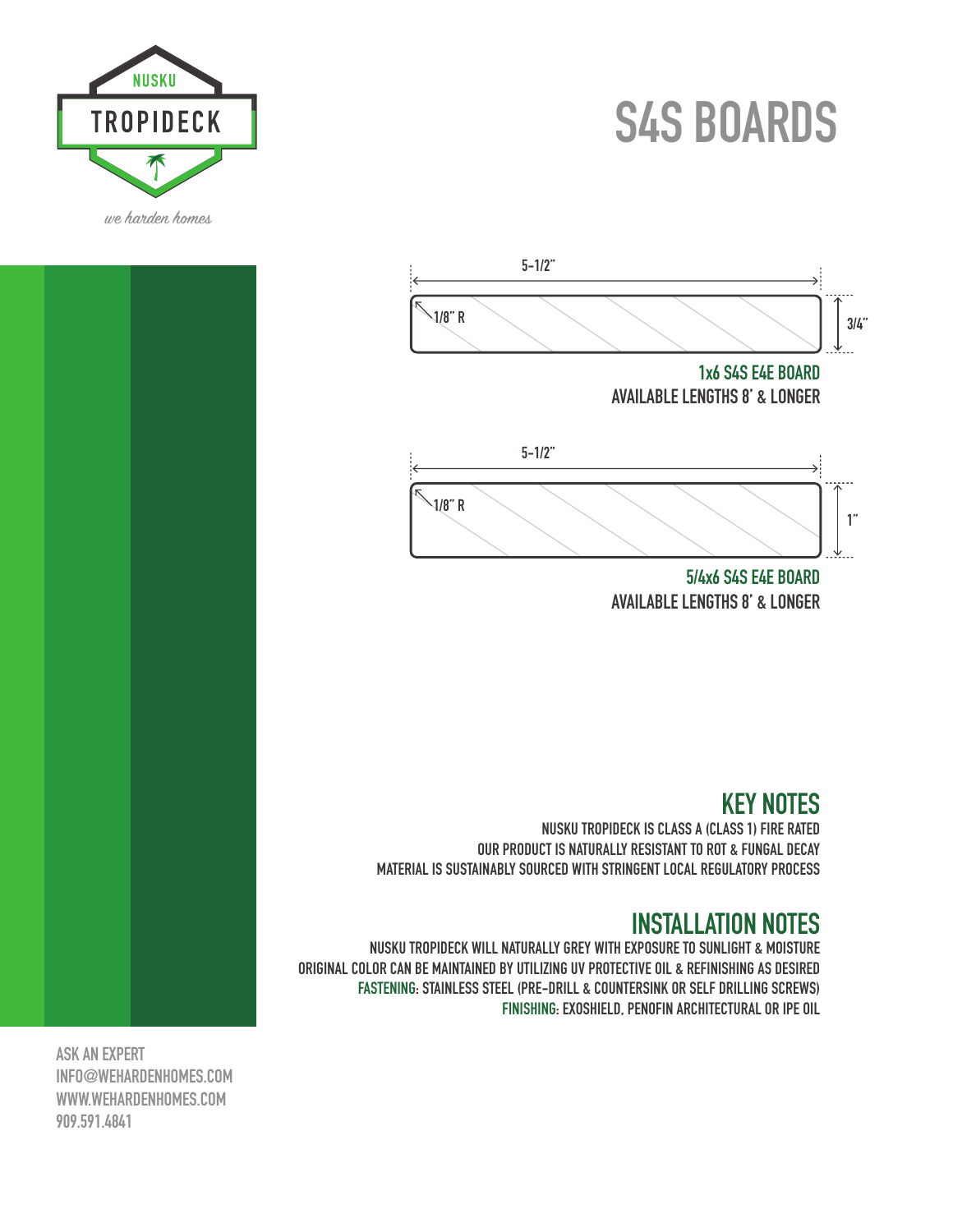# **S4S BOARDS**





**5/4x6 S4S E4E BOARD AVAILABLE LENGTHS 8' & LONGER**

## **KEY NOTES**

**NUSKU TROPIDECK IS CLASS A (CLASS 1) FIRE RATED OUR PRODUCT IS NATURALLY RESISTANT TO ROT & FUNGAL DECAY MATERIAL IS SUSTAINABLY SOURCED WITH STRINGENT LOCAL REGULATORY PROCESS**

#### **INSTALLATION NOTES**

**NUSKU TROPIDECK WILL NATURALLY GREY WITH EXPOSURE TO SUNLIGHT & MOISTURE ORIGINAL COLOR CAN BE MAINTAINED BY UTILIZING UV PROTECTIVE OIL & REFINISHING AS DESIRED FASTENING: STAINLESS STEEL (PRE-DRILL & COUNTERSINK OR SELF DRILLING SCREWS) FINISHING: EXOSHIELD, PENOFIN ARCHITECTURAL OR IPE OIL**

**ASK AN EXPERT INFO@WEHARDENHOMES.COM WWW.WEHARDENHOMES.COM 909.591.4841**